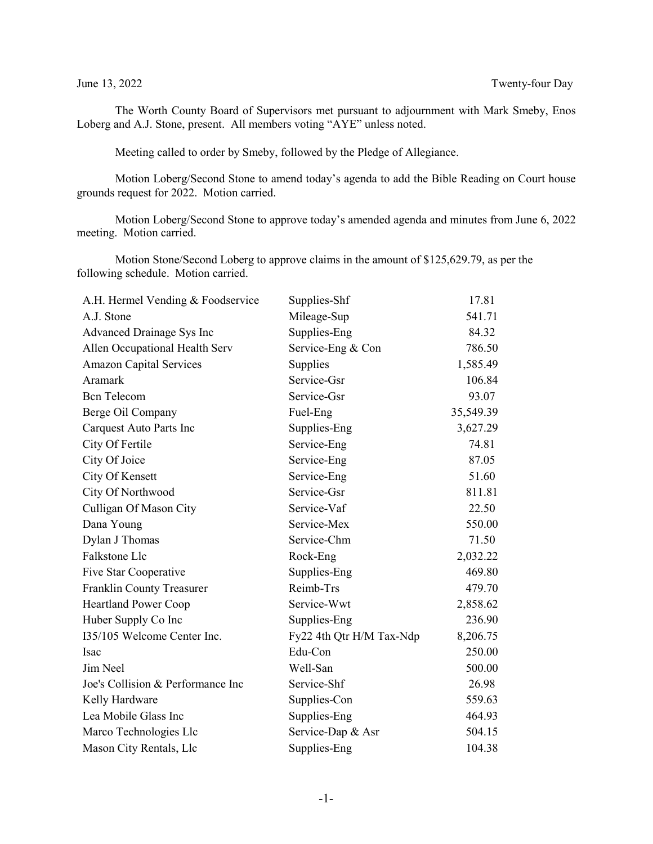The Worth County Board of Supervisors met pursuant to adjournment with Mark Smeby, Enos Loberg and A.J. Stone, present. All members voting "AYE" unless noted.

Meeting called to order by Smeby, followed by the Pledge of Allegiance.

Motion Loberg/Second Stone to amend today's agenda to add the Bible Reading on Court house grounds request for 2022. Motion carried.

Motion Loberg/Second Stone to approve today's amended agenda and minutes from June 6, 2022 meeting. Motion carried.

Motion Stone/Second Loberg to approve claims in the amount of \$125,629.79, as per the following schedule. Motion carried.

| A.H. Hermel Vending & Foodservice | Supplies-Shf             | 17.81     |
|-----------------------------------|--------------------------|-----------|
| A.J. Stone                        | Mileage-Sup              | 541.71    |
| Advanced Drainage Sys Inc         | Supplies-Eng             | 84.32     |
| Allen Occupational Health Serv    | Service-Eng & Con        | 786.50    |
| <b>Amazon Capital Services</b>    | Supplies                 | 1,585.49  |
| Aramark                           | Service-Gsr              | 106.84    |
| <b>Bcn</b> Telecom                | Service-Gsr              | 93.07     |
| Berge Oil Company                 | Fuel-Eng                 | 35,549.39 |
| Carquest Auto Parts Inc           | Supplies-Eng             | 3,627.29  |
| City Of Fertile                   | Service-Eng              | 74.81     |
| City Of Joice                     | Service-Eng              | 87.05     |
| City Of Kensett                   | Service-Eng              | 51.60     |
| City Of Northwood                 | Service-Gsr              | 811.81    |
| Culligan Of Mason City            | Service-Vaf              | 22.50     |
| Dana Young                        | Service-Mex              | 550.00    |
| Dylan J Thomas                    | Service-Chm              | 71.50     |
| Falkstone Llc                     | Rock-Eng                 | 2,032.22  |
| Five Star Cooperative             | Supplies-Eng             | 469.80    |
| Franklin County Treasurer         | Reimb-Trs                | 479.70    |
| <b>Heartland Power Coop</b>       | Service-Wwt              | 2,858.62  |
| Huber Supply Co Inc               | Supplies-Eng             | 236.90    |
| I35/105 Welcome Center Inc.       | Fy22 4th Qtr H/M Tax-Ndp | 8,206.75  |
| Isac                              | Edu-Con                  | 250.00    |
| Jim Neel                          | Well-San                 | 500.00    |
| Joe's Collision & Performance Inc | Service-Shf              | 26.98     |
| Kelly Hardware                    | Supplies-Con             | 559.63    |
| Lea Mobile Glass Inc              | Supplies-Eng             | 464.93    |
| Marco Technologies Llc            | Service-Dap & Asr        | 504.15    |
| Mason City Rentals, Llc           | Supplies-Eng             | 104.38    |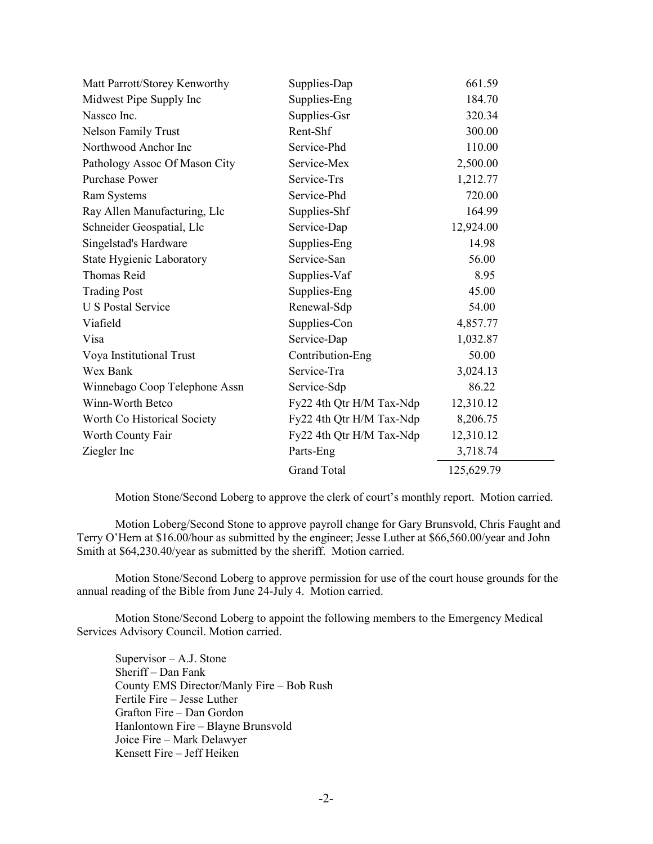| Matt Parrott/Storey Kenworthy | Supplies-Dap             | 661.59     |
|-------------------------------|--------------------------|------------|
| Midwest Pipe Supply Inc       | Supplies-Eng             | 184.70     |
| Nassco Inc.                   | Supplies-Gsr             | 320.34     |
| <b>Nelson Family Trust</b>    | Rent-Shf                 | 300.00     |
| Northwood Anchor Inc          | Service-Phd              | 110.00     |
| Pathology Assoc Of Mason City | Service-Mex              | 2,500.00   |
| <b>Purchase Power</b>         | Service-Trs              | 1,212.77   |
| Ram Systems                   | Service-Phd              | 720.00     |
| Ray Allen Manufacturing, Llc  | Supplies-Shf             | 164.99     |
| Schneider Geospatial, Llc     | Service-Dap              | 12,924.00  |
| Singelstad's Hardware         | Supplies-Eng             | 14.98      |
| State Hygienic Laboratory     | Service-San              | 56.00      |
| Thomas Reid                   | Supplies-Vaf             | 8.95       |
| <b>Trading Post</b>           | Supplies-Eng             | 45.00      |
| <b>U S Postal Service</b>     | Renewal-Sdp              | 54.00      |
| Viafield                      | Supplies-Con             | 4,857.77   |
| Visa                          | Service-Dap              | 1,032.87   |
| Voya Institutional Trust      | Contribution-Eng         | 50.00      |
| Wex Bank                      | Service-Tra              | 3,024.13   |
| Winnebago Coop Telephone Assn | Service-Sdp              | 86.22      |
| Winn-Worth Betco              | Fy22 4th Qtr H/M Tax-Ndp | 12,310.12  |
| Worth Co Historical Society   | Fy22 4th Qtr H/M Tax-Ndp | 8,206.75   |
| Worth County Fair             | Fy22 4th Qtr H/M Tax-Ndp | 12,310.12  |
| Ziegler Inc                   | Parts-Eng                | 3,718.74   |
|                               | <b>Grand Total</b>       | 125,629.79 |

Motion Stone/Second Loberg to approve the clerk of court's monthly report. Motion carried.

Motion Loberg/Second Stone to approve payroll change for Gary Brunsvold, Chris Faught and Terry O'Hern at \$16.00/hour as submitted by the engineer; Jesse Luther at \$66,560.00/year and John Smith at \$64,230.40/year as submitted by the sheriff. Motion carried.

Motion Stone/Second Loberg to approve permission for use of the court house grounds for the annual reading of the Bible from June 24-July 4. Motion carried.

Motion Stone/Second Loberg to appoint the following members to the Emergency Medical Services Advisory Council. Motion carried.

Supervisor – A.J. Stone Sheriff – Dan Fank County EMS Director/Manly Fire – Bob Rush Fertile Fire – Jesse Luther Grafton Fire – Dan Gordon Hanlontown Fire – Blayne Brunsvold Joice Fire – Mark Delawyer Kensett Fire – Jeff Heiken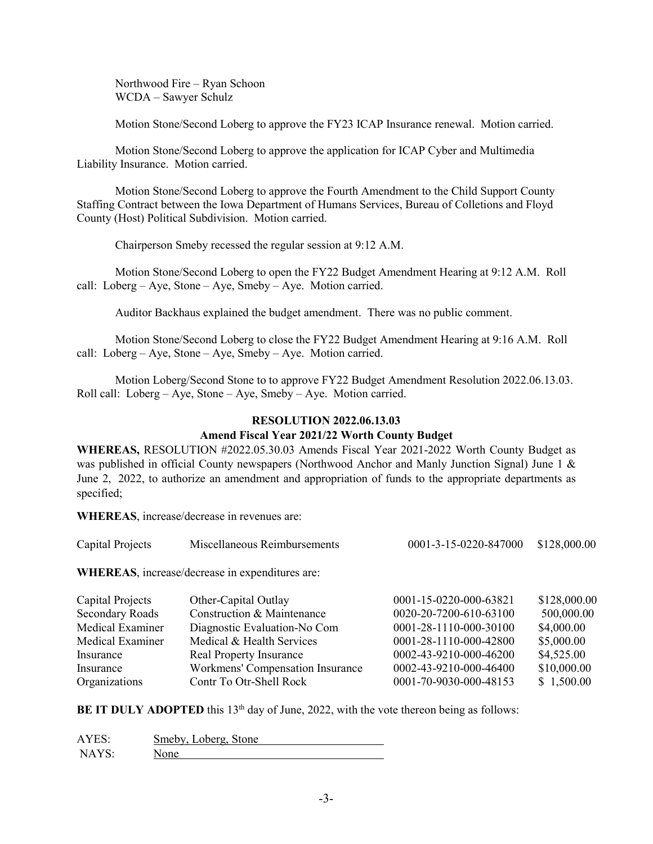Northwood Fire – Ryan Schoon WCDA – Sawyer Schulz

Motion Stone/Second Loberg to approve the FY23 ICAP Insurance renewal. Motion carried.

Motion Stone/Second Loberg to approve the application for ICAP Cyber and Multimedia Liability Insurance. Motion carried.

Motion Stone/Second Loberg to approve the Fourth Amendment to the Child Support County Staffing Contract between the Iowa Department of Humans Services, Bureau of Colletions and Floyd County (Host) Political Subdivision. Motion carried.

Chairperson Smeby recessed the regular session at 9:12 A.M.

Motion Stone/Second Loberg to open the FY22 Budget Amendment Hearing at 9:12 A.M. Roll call: Loberg – Aye, Stone – Aye, Smeby – Aye. Motion carried.

Auditor Backhaus explained the budget amendment. There was no public comment.

Motion Stone/Second Loberg to close the FY22 Budget Amendment Hearing at 9:16 A.M. Roll call: Loberg – Aye, Stone – Aye, Smeby – Aye. Motion carried.

Motion Loberg/Second Stone to to approve FY22 Budget Amendment Resolution 2022.06.13.03. Roll call: Loberg – Aye, Stone – Aye, Smeby – Aye. Motion carried.

## **RESOLUTION 2022.06.13.03**

## **Amend Fiscal Year 2021/22 Worth County Budget**

**WHEREAS,** RESOLUTION #2022.05.30.03 Amends Fiscal Year 2021-2022 Worth County Budget as was published in official County newspapers (Northwood Anchor and Manly Junction Signal) June 1 & June 2, 2022, to authorize an amendment and appropriation of funds to the appropriate departments as specified;

**WHEREAS**, increase/decrease in revenues are:

| Capital Projects                            | Miscellaneous Reimbursements | 0001-3-15-0220-847000 \$128,000.00 |  |
|---------------------------------------------|------------------------------|------------------------------------|--|
| $\mathbf{r}$ is the state of $\mathbf{r}$ . |                              |                                    |  |

**WHEREAS**, increase/decrease in expenditures are:

| Capital Projects | Other-Capital Outlay             | 0001-15-0220-000-63821 | \$128,000.00 |
|------------------|----------------------------------|------------------------|--------------|
| Secondary Roads  | Construction & Maintenance       | 0020-20-7200-610-63100 | 500,000.00   |
| Medical Examiner | Diagnostic Evaluation-No Com     | 0001-28-1110-000-30100 | \$4,000.00   |
| Medical Examiner | Medical & Health Services        | 0001-28-1110-000-42800 | \$5,000.00   |
| Insurance        | <b>Real Property Insurance</b>   | 0002-43-9210-000-46200 | \$4,525.00   |
| Insurance        | Workmens' Compensation Insurance | 0002-43-9210-000-46400 | \$10,000.00  |
| Organizations    | Contr To Otr-Shell Rock          | 0001-70-9030-000-48153 | \$1,500.00   |

**BE IT DULY ADOPTED** this  $13<sup>th</sup>$  day of June, 2022, with the vote thereon being as follows:

| AYES: | Smeby, Loberg, Stone |
|-------|----------------------|
| NAYS  | None                 |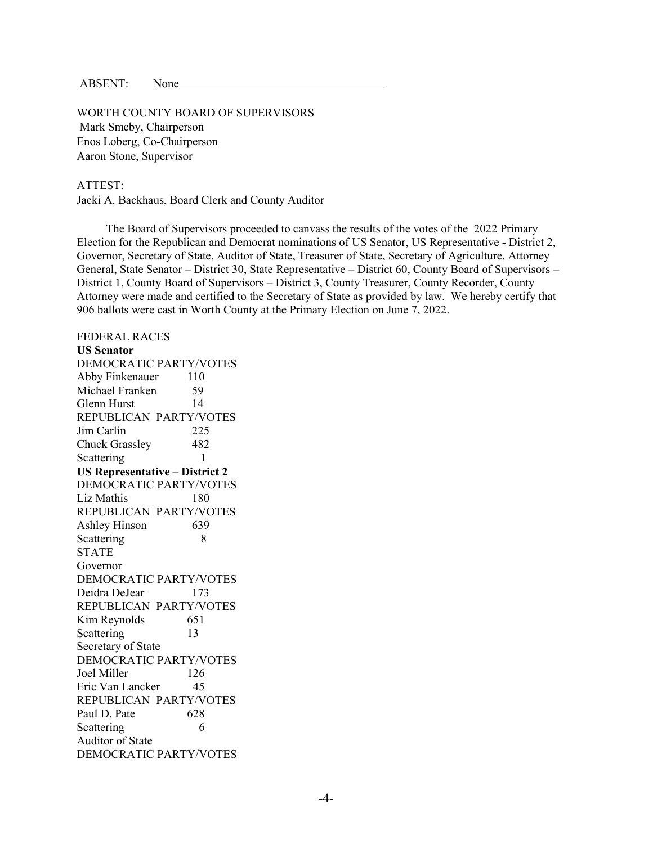ABSENT: None

WORTH COUNTY BOARD OF SUPERVISORS Mark Smeby, Chairperson Enos Loberg, Co-Chairperson Aaron Stone, Supervisor

## ATTEST:

Jacki A. Backhaus, Board Clerk and County Auditor

 The Board of Supervisors proceeded to canvass the results of the votes of the 2022 Primary Election for the Republican and Democrat nominations of US Senator, US Representative - District 2, Governor, Secretary of State, Auditor of State, Treasurer of State, Secretary of Agriculture, Attorney General, State Senator – District 30, State Representative – District 60, County Board of Supervisors – District 1, County Board of Supervisors – District 3, County Treasurer, County Recorder, County Attorney were made and certified to the Secretary of State as provided by law. We hereby certify that 906 ballots were cast in Worth County at the Primary Election on June 7, 2022.

FEDERAL RACES **US Senator** DEMOCRATIC PARTY/VOTES Abby Finkenauer 110 Michael Franken 59 Glenn Hurst 14 REPUBLICAN PARTY/VOTES Jim Carlin 225 Chuck Grassley 482 Scattering 1 **US Representative – District 2** DEMOCRATIC PARTY/VOTES Liz Mathis 180 REPUBLICAN PARTY/VOTES Ashley Hinson 639 Scattering 8 STATE Governor DEMOCRATIC PARTY/VOTES Deidra DeJear 173 REPUBLICAN PARTY/VOTES Kim Reynolds 651 Scattering 13 Secretary of State DEMOCRATIC PARTY/VOTES Joel Miller 126 Eric Van Lancker 45 REPUBLICAN PARTY/VOTES Paul D. Pate 628 Scattering 6 Auditor of State DEMOCRATIC PARTY/VOTES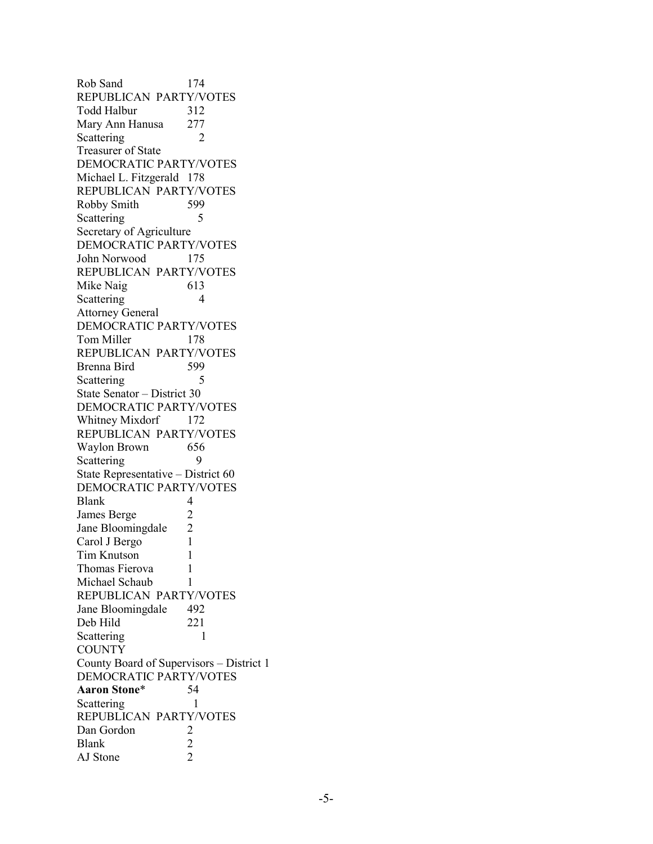Rob Sand 174 REPUBLICAN PARTY/VOTES Todd Halbur 312 Mary Ann Hanusa 277 Scattering 2 Treasurer of State DEMOCRATIC PARTY/VOTES Michael L. Fitzgerald 178 REPUBLICAN PARTY/VOTES Robby Smith 599 Scattering 5 Secretary of Agriculture DEMOCRATIC PARTY/VOTES John Norwood 175 REPUBLICAN PARTY/VOTES Mike Naig 613 Scattering 4 Attorney General DEMOCRATIC PARTY/VOTES Tom Miller 178 REPUBLICAN PARTY/VOTES Brenna Bird 599 Scattering 5 State Senator – District 30 DEMOCRATIC PARTY/VOTES Whitney Mixdorf 172 REPUBLICAN PARTY/VOTES Waylon Brown 656 Scattering 9 State Representative – District 60 DEMOCRATIC PARTY/VOTES Blank 4 James Berge 2<br>Jane Bloomingdale 2 Jane Bloomingdale Carol J Bergo 1 Tim Knutson 1 Thomas Fierova 1 Michael Schaub 1 REPUBLICAN PARTY/VOTES Jane Bloomingdale 492 Deb Hild 221 Scattering 1 **COUNTY** County Board of Supervisors – District 1 DEMOCRATIC PARTY/VOTES **Aaron Stone**\* 54 Scattering 1 REPUBLICAN PARTY/VOTES Dan Gordon 2<br>Blank 2 Blank 2<br>AJ Stone 2 AJ Stone